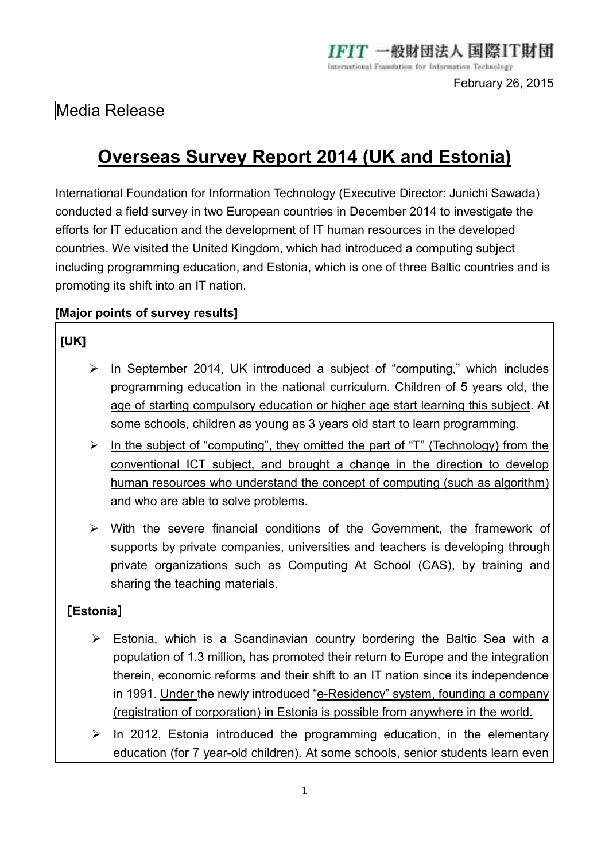# Media Release

# **Overseas Survey Report 2014 (UK and Estonia)**

International Foundation for Information Technology (Executive Director: Junichi Sawada) conducted a field survey in two European countries in December 2014 to investigate the efforts for IT education and the development of IT human resources in the developed countries. We visited the United Kingdom, which had introduced a computing subject including programming education, and Estonia, which is one of three Baltic countries and is promoting its shift into an IT nation.

### **[Major points of survey results]**

# **[UK]**

- $\triangleright$  In September 2014, UK introduced a subject of "computing," which includes programming education in the national curriculum. Children of 5 years old, the age of starting compulsory education or higher age start learning this subject. At some schools, children as young as 3 years old start to learn programming.
- $\triangleright$  In the subject of "computing", they omitted the part of "T" (Technology) from the conventional ICT subject, and brought a change in the direction to develop human resources who understand the concept of computing (such as algorithm) and who are able to solve problems.
- $\triangleright$  With the severe financial conditions of the Government, the framework of supports by private companies, universities and teachers is developing through private organizations such as Computing At School (CAS), by training and sharing the teaching materials.

## [**Estonia**]

- $\triangleright$  Estonia, which is a Scandinavian country bordering the Baltic Sea with a population of 1.3 million, has promoted their return to Europe and the integration therein, economic reforms and their shift to an IT nation since its independence in 1991. Under the newly introduced "e-Residency" system, founding a company (registration of corporation) in Estonia is possible from anywhere in the world.
- $\triangleright$  In 2012, Estonia introduced the programming education, in the elementary education (for 7 year-old children). At some schools, senior students learn even